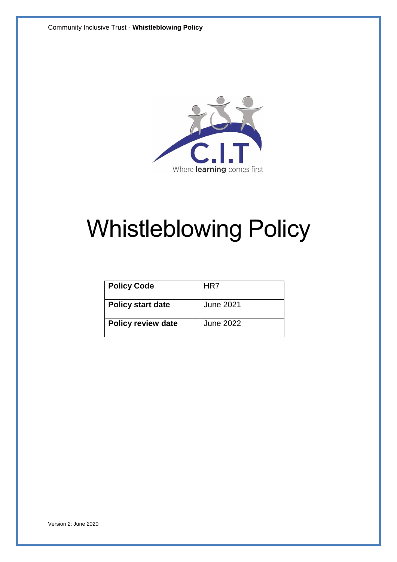

# Whistleblowing Policy

| <b>Policy Code</b>        | HR <sub>7</sub>  |
|---------------------------|------------------|
| <b>Policy start date</b>  | <b>June 2021</b> |
| <b>Policy review date</b> | <b>June 2022</b> |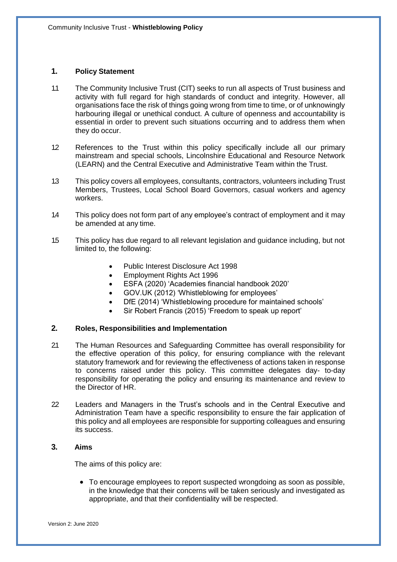# **1. Policy Statement**

- 1.1 The Community Inclusive Trust (CIT) seeks to run all aspects of Trust business and activity with full regard for high standards of conduct and integrity. However, all organisations face the risk of things going wrong from time to time, or of unknowingly harbouring illegal or unethical conduct. A culture of openness and accountability is essential in order to prevent such situations occurring and to address them when they do occur.
- 1.2 References to the Trust within this policy specifically include all our primary mainstream and special schools, Lincolnshire Educational and Resource Network (LEARN) and the Central Executive and Administrative Team within the Trust.
- 1.3 This policy covers all employees, consultants, contractors, volunteers including Trust Members, Trustees, Local School Board Governors, casual workers and agency workers.
- 1.4 This policy does not form part of any employee's contract of employment and it may be amended at any time.
- 1.5 This policy has due regard to all relevant legislation and guidance including, but not limited to, the following:
	- Public Interest Disclosure Act 1998
	- Employment Rights Act 1996
	- ESFA (2020) 'Academies financial handbook 2020'
	- GOV.UK (2012) 'Whistleblowing for employees'
	- DfE (2014) 'Whistleblowing procedure for maintained schools'
	- Sir Robert Francis (2015) 'Freedom to speak up report'

## **2. Roles, Responsibilities and Implementation**

- 21 The Human Resources and Safeguarding Committee has overall responsibility for the effective operation of this policy, for ensuring compliance with the relevant statutory framework and for reviewing the effectiveness of actions taken in response to concerns raised under this policy. This committee delegates day- to-day responsibility for operating the policy and ensuring its maintenance and review to the Director of HR.
- 22 Leaders and Managers in the Trust's schools and in the Central Executive and Administration Team have a specific responsibility to ensure the fair application of this policy and all employees are responsible for supporting colleagues and ensuring its success.

# **3. Aims**

The aims of this policy are:

• To encourage employees to report suspected wrongdoing as soon as possible, in the knowledge that their concerns will be taken seriously and investigated as appropriate, and that their confidentiality will be respected.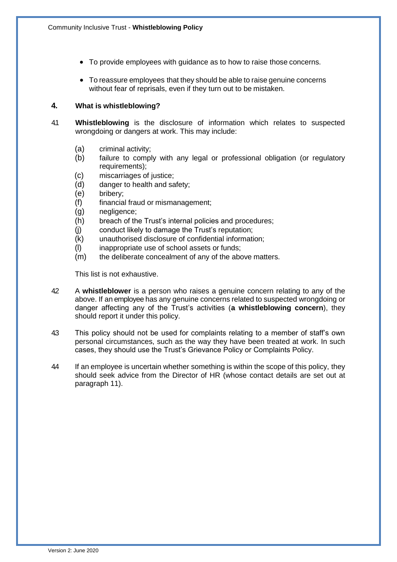- To provide employees with guidance as to how to raise those concerns.
- To reassure employees that they should be able to raise genuine concerns without fear of reprisals, even if they turn out to be mistaken.

# **4. What is whistleblowing?**

- 4.1 **Whistleblowing** is the disclosure of information which relates to suspected wrongdoing or dangers at work. This may include:
	- (a) criminal activity;
	- (b) failure to comply with any legal or professional obligation (or regulatory requirements);
	- (c) miscarriages of justice;
	- (d) danger to health and safety;
	- (e) bribery;
	- (f) financial fraud or mismanagement;
	- (g) negligence;
	- (h) breach of the Trust's internal policies and procedures;
	- (j) conduct likely to damage the Trust's reputation;
	- (k) unauthorised disclosure of confidential information;
	- (l) inappropriate use of school assets or funds;
	- (m) the deliberate concealment of any of the above matters.

This list is not exhaustive.

- 4.2 A **whistleblower** is a person who raises a genuine concern relating to any of the above. If an employee has any genuine concerns related to suspected wrongdoing or danger affecting any of the Trust's activities (**a whistleblowing concern**), they should report it under this policy.
- 4.3 This policy should not be used for complaints relating to a member of staff's own personal circumstances, such as the way they have been treated at work. In such cases, they should use the Trust's Grievance Policy or Complaints Policy.
- 4.4 If an employee is uncertain whether something is within the scope of this policy, they should seek advice from the Director of HR (whose contact details are set out at paragraph 11).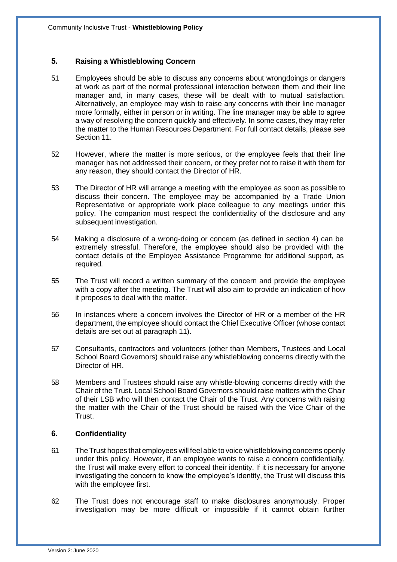# **5. Raising a Whistleblowing Concern**

- 5.1 Employees should be able to discuss any concerns about wrongdoings or dangers at work as part of the normal professional interaction between them and their line manager and, in many cases, these will be dealt with to mutual satisfaction. Alternatively, an employee may wish to raise any concerns with their line manager more formally, either in person or in writing. The line manager may be able to agree a way of resolving the concern quickly and effectively. In some cases, they may refer the matter to the Human Resources Department. For full contact details, please see Section 11.
- 5.2 However, where the matter is more serious, or the employee feels that their line manager has not addressed their concern, or they prefer not to raise it with them for any reason, they should contact the Director of HR.
- 5.3 The Director of HR will arrange a meeting with the employee as soon as possible to discuss their concern. The employee may be accompanied by a Trade Union Representative or appropriate work place colleague to any meetings under this policy. The companion must respect the confidentiality of the disclosure and any subsequent investigation.
- 5.4 Making a disclosure of a wrong-doing or concern (as defined in section 4) can be extremely stressful. Therefore, the employee should also be provided with the contact details of the Employee Assistance Programme for additional support, as required.
- 5.5 The Trust will record a written summary of the concern and provide the employee with a copy after the meeting. The Trust will also aim to provide an indication of how it proposes to deal with the matter.
- 5.6 In instances where a concern involves the Director of HR or a member of the HR department, the employee should contact the Chief Executive Officer (whose contact details are set out at paragraph 11).
- 5.7 Consultants, contractors and volunteers (other than Members, Trustees and Local School Board Governors) should raise any whistleblowing concerns directly with the Director of HR.
- 5.8 Members and Trustees should raise any whistle-blowing concerns directly with the Chair of the Trust. Local School Board Governors should raise matters with the Chair of their LSB who will then contact the Chair of the Trust. Any concerns with raising the matter with the Chair of the Trust should be raised with the Vice Chair of the Trust.

#### **6. Confidentiality**

- 6.1 TheTrust hopes that employees will feel able to voice whistleblowing concerns openly under this policy. However, if an employee wants to raise a concern confidentially, the Trust will make every effort to conceal their identity. If it is necessary for anyone investigating the concern to know the employee's identity, the Trust will discuss this with the employee first.
- 6.2 The Trust does not encourage staff to make disclosures anonymously. Proper investigation may be more difficult or impossible if it cannot obtain further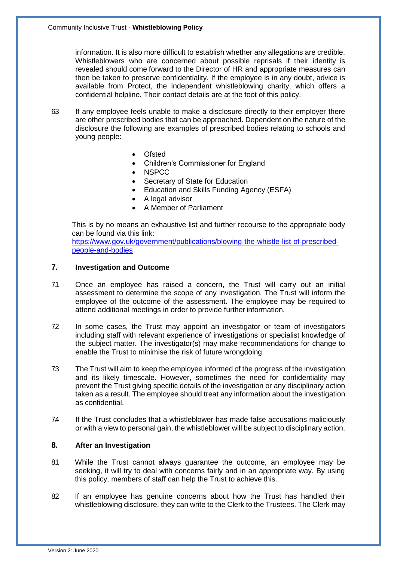information. It is also more difficult to establish whether any allegations are credible. Whistleblowers who are concerned about possible reprisals if their identity is revealed should come forward to the Director of HR and appropriate measures can then be taken to preserve confidentiality. If the employee is in any doubt, advice is available from Protect, the independent whistleblowing charity, which offers a confidential helpline. Their contact details are at the foot of this policy.

- 6.3 If any employee feels unable to make a disclosure directly to their employer there are other prescribed bodies that can be approached. Dependent on the nature of the disclosure the following are examples of prescribed bodies relating to schools and young people:
	- Ofsted
	- Children's Commissioner for England
	- NSPCC
	- Secretary of State for Education
	- Education and Skills Funding Agency (ESFA)
	- A legal advisor
	- A Member of Parliament

This is by no means an exhaustive list and further recourse to the appropriate body can be found via this link:

[https://www.gov.uk/government/publications/blowing-the-whistle-list-of-prescribed](https://www.gov.uk/government/publications/blowing-the-whistle-list-of-prescribed-people-and-bodies)[people-and-bodies](https://www.gov.uk/government/publications/blowing-the-whistle-list-of-prescribed-people-and-bodies)

## **7. Investigation and Outcome**

- 7.1 Once an employee has raised a concern, the Trust will carry out an initial assessment to determine the scope of any investigation. The Trust will inform the employee of the outcome of the assessment. The employee may be required to attend additional meetings in order to provide further information.
- 72 In some cases, the Trust may appoint an investigator or team of investigators including staff with relevant experience of investigations or specialist knowledge of the subject matter. The investigator(s) may make recommendations for change to enable the Trust to minimise the risk of future wrongdoing.
- 7.3 The Trust will aim to keep the employee informed of the progress of the investigation and its likely timescale. However, sometimes the need for confidentiality may prevent the Trust giving specific details of the investigation or any disciplinary action taken as a result. The employee should treat any information about the investigation as confidential.
- 7.4 If the Trust concludes that a whistleblower has made false accusations maliciously or with a view to personal gain, the whistleblower will be subject to disciplinary action.

#### **8. After an Investigation**

- 8.1 While the Trust cannot always guarantee the outcome, an employee may be seeking, it will try to deal with concerns fairly and in an appropriate way. By using this policy, members of staff can help the Trust to achieve this.
- 82 If an employee has genuine concerns about how the Trust has handled their whistleblowing disclosure, they can write to the Clerk to the Trustees. The Clerk may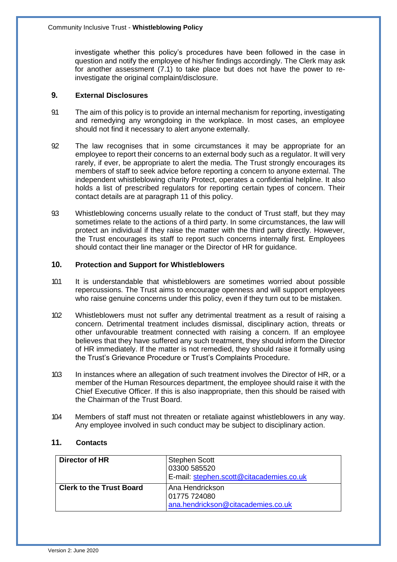investigate whether this policy's procedures have been followed in the case in question and notify the employee of his/her findings accordingly. The Clerk may ask for another assessment (7.1) to take place but does not have the power to reinvestigate the original complaint/disclosure.

# **9. External Disclosures**

- 9.1 The aim of this policy is to provide an internal mechanism for reporting, investigating and remedying any wrongdoing in the workplace. In most cases, an employee should not find it necessary to alert anyone externally.
- 9.2 The law recognises that in some circumstances it may be appropriate for an employee to report their concerns to an external body such as a regulator. It will very rarely, if ever, be appropriate to alert the media. The Trust strongly encourages its members of staff to seek advice before reporting a concern to anyone external. The independent whistleblowing charity Protect, operates a confidential helpline. It also holds a list of prescribed regulators for reporting certain types of concern. Their contact details are at paragraph 11 of this policy.
- 9.3 Whistleblowing concerns usually relate to the conduct of Trust staff, but they may sometimes relate to the actions of a third party. In some circumstances, the law will protect an individual if they raise the matter with the third party directly. However, the Trust encourages its staff to report such concerns internally first. Employees should contact their line manager or the Director of HR for guidance.

## **10. Protection and Support for Whistleblowers**

- 10.1 It is understandable that whistleblowers are sometimes worried about possible repercussions. The Trust aims to encourage openness and will support employees who raise genuine concerns under this policy, even if they turn out to be mistaken.
- 102 Whistleblowers must not suffer any detrimental treatment as a result of raising a concern. Detrimental treatment includes dismissal, disciplinary action, threats or other unfavourable treatment connected with raising a concern. If an employee believes that they have suffered any such treatment, they should inform the Director of HR immediately. If the matter is not remedied, they should raise it formally using the Trust's Grievance Procedure or Trust's Complaints Procedure.
- 10.3 In instances where an allegation of such treatment involves the Director of HR, or a member of the Human Resources department, the employee should raise it with the Chief Executive Officer. If this is also inappropriate, then this should be raised with the Chairman of the Trust Board.
- 104 Members of staff must not threaten or retaliate against whistleblowers in any way. Any employee involved in such conduct may be subject to disciplinary action.

#### **11. Contacts**

| <b>Director of HR</b>           | <b>Stephen Scott</b><br>03300 585520<br>E-mail: stephen.scott@citacademies.co.uk |
|---------------------------------|----------------------------------------------------------------------------------|
| <b>Clerk to the Trust Board</b> | l Ana Hendrickson<br>101775 724080<br>ana.hendrickson@citacademies.co.uk         |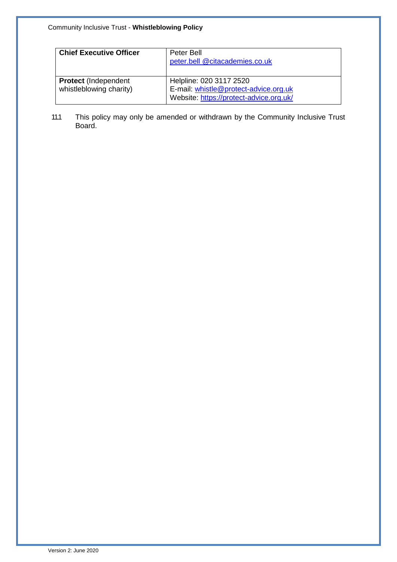| <b>Chief Executive Officer</b>                         | Peter Bell<br>peter.bell @citacademies.co.uk                                                                |
|--------------------------------------------------------|-------------------------------------------------------------------------------------------------------------|
| <b>Protect (Independent</b><br>whistleblowing charity) | Helpline: 020 3117 2520<br>E-mail: whistle@protect-advice.org.uk<br>Website: https://protect-advice.org.uk/ |

11.1 This policy may only be amended or withdrawn by the Community Inclusive Trust Board.